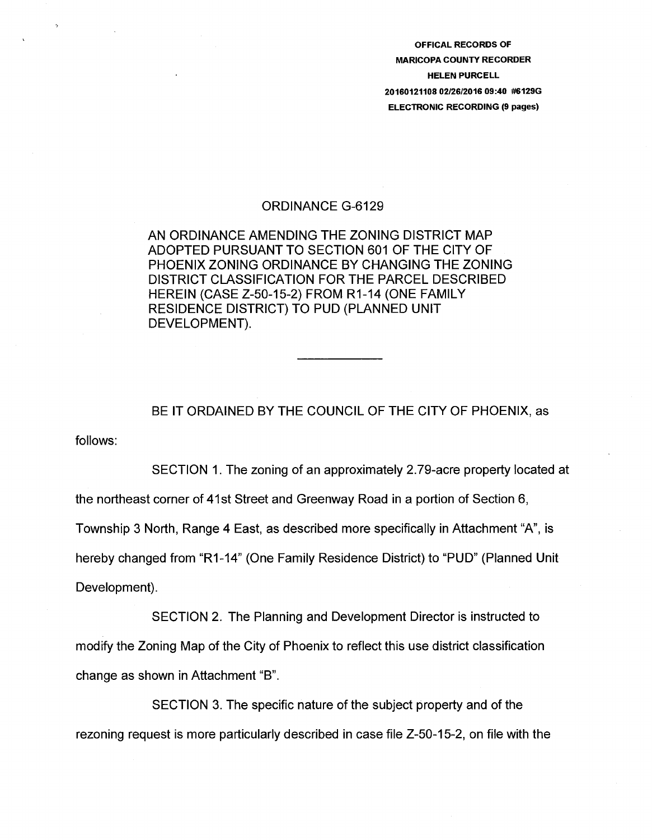OFFICAL RECORDS OF MARICOPA COUNTY RECORDER HELEN PURCELL 20160121108 02/26/2016 09:40 #6129G ELECTRONIC RECORDING (9 pages)

#### ORDINANCE G-6129

AN ORDINANCE AMENDING THE ZONING DISTRICT MAP ADOPTED PURSUANT TO SECTION 601 OF THE CITY OF PHOENIX ZONING ORDINANCE BY CHANGING THE ZONING DISTRICT CLASSIFICATION FOR THE PARCEL DESCRIBED HEREIN (CASE Z-50-15-2) FROM R1-14 (ONE FAMILY RESIDENCE DISTRICT) TO PUD (PLANNED UNIT DEVELOPMENT).

BE IT ORDAINED BY THE COUNCIL OF THE CITY OF PHOENIX, as

follows:

SECTION 1. The zoning of an approximately 2.79-acre property located at the northeast corner of 41st Street and Greenway Road in a portion of Section 6, Township 3 North, Range 4 East, as described more specifically in Attachment "A", is hereby changed from "R1-14" (One Family Residence District) to "PUD" (Planned Unit Development).

SECTION 2. The Planning and Development Director is instructed to modify the Zoning Map of the City of Phoenix to reflect this use district classification change as shown in Attachment "B".

SECTION 3. The specific nature of the subject property and of the rezoning request is more particularly described in case file Z-50-15-2, on file with the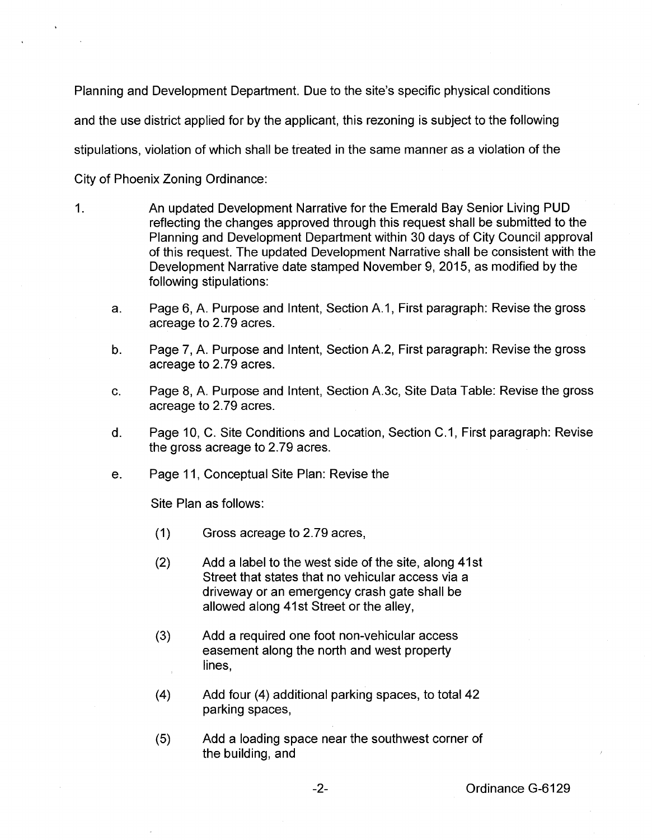Planning and Development Department. Due to the site's specific physical conditions and the use district applied for by the applicant, this rezoning is subject to the following stipulations, violation of which shall be treated in the same manner as a violation of the City of Phoenix Zoning Ordinance:

- 1. An updated Development Narrative for the Emerald Bay Senior Living PUD reflecting the changes approved through this request shall be submitted to the Planning and Development Department within 30 days of City Council approval of this request. The updated Development Narrative shall be consistent with the Development Narrative date stamped November 9, 2015, as modified by the following stipulations:
	- a. Page 6, A. Purpose and Intent, Section A.1, First paragraph: Revise the gross acreage to 2.79 acres.
	- b. Page 7, A. Purpose and Intent, Section A.2, First paragraph: Revise the gross acreage to 2.79 acres.
	- c. Page 8, A. Purpose and Intent, Section A.3c, Site Data Table: Revise the gross acreage to 2.79 acres.
	- d. Page 10, C. Site Conditions and Location, Section C.1, First paragraph: Revise the gross acreage to 2.79 acres.
	- e. Page 11, Conceptual Site Plan: Revise the

Site Plan as follows:

- (1) Gross acreage to 2.79 acres,
- (2) Add a label to the west side of the site, along 41st Street that states that no vehicular access via a driveway or an emergency crash gate shall be allowed along 41st Street or the alley,
- (3) Add a required one foot non-vehicular access easement along the north and west property lines,
- (4) Add four (4) additional parking spaces, to total42 parking spaces,
- (5) Add a loading space near the southwest corner of the building, and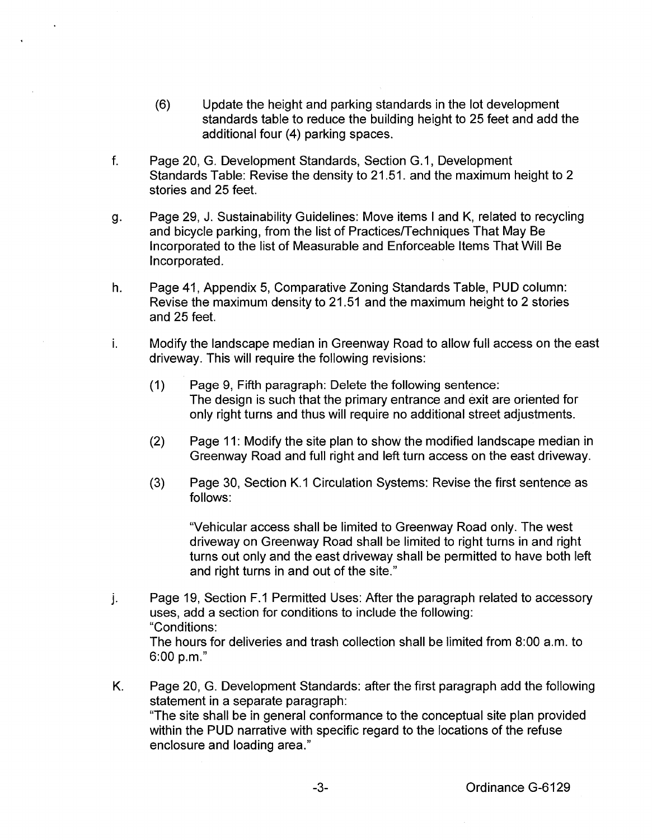- (6) Update the height and parking standards in the lot development standards table to reduce the building height to 25 feet and add the additional four (4) parking spaces.
- f. Page 20, G. Development Standards, Section G.1, Development Standards Table: Revise the density to 21.51. and the maximum height to 2 stories and 25 feet.
- g. Page 29, J. Sustainability Guidelines: Move items I and K, related to recycling and bicycle parking, from the list of Practices/Techniques That May Be Incorporated to the list of Measurable and Enforceable Items That Will Be Incorporated.
- h. Page 41, Appendix 5, Comparative Zoning Standards Table, PUD column: Revise the maximum density to 21.51 and the maximum height to 2 stories and 25 feet.
- i. Modify the landscape median in Greenway Road to allow full access on the east driveway. This will require the following revisions:
	- (1) Page 9, Fifth paragraph: Delete the following sentence: The design is such that the primary entrance and exit are oriented for only right turns and thus will require no additional street adjustments.
	- (2) Page 11: Modify the site plan to show the modified landscape median in Greenway Road and full right and left turn access on the east driveway.
	- (3) Page 30, Section K.1 Circulation Systems: Revise the first sentence as follows:

"Vehicular access shall be limited to Greenway Road only. The west driveway on Greenway Road shall be limited to right turns in and right turns out only and the east driveway shall be permitted to have both left and right turns in and out of the site."

- j. Page 19, Section F.1 Permitted Uses: After the paragraph related to accessory uses, add a section for conditions to include the following: "Conditions: The hours for deliveries and trash collection shall be limited from 8:00 a.m. to 6:00 p.m."
- K. Page 20, G. Development Standards: after the first paragraph add the following statement in a separate paragraph: "The site shall be in general conformance to the conceptual site plan provided within the PUD narrative with specific regard to the locations of the refuse enclosure and loading area."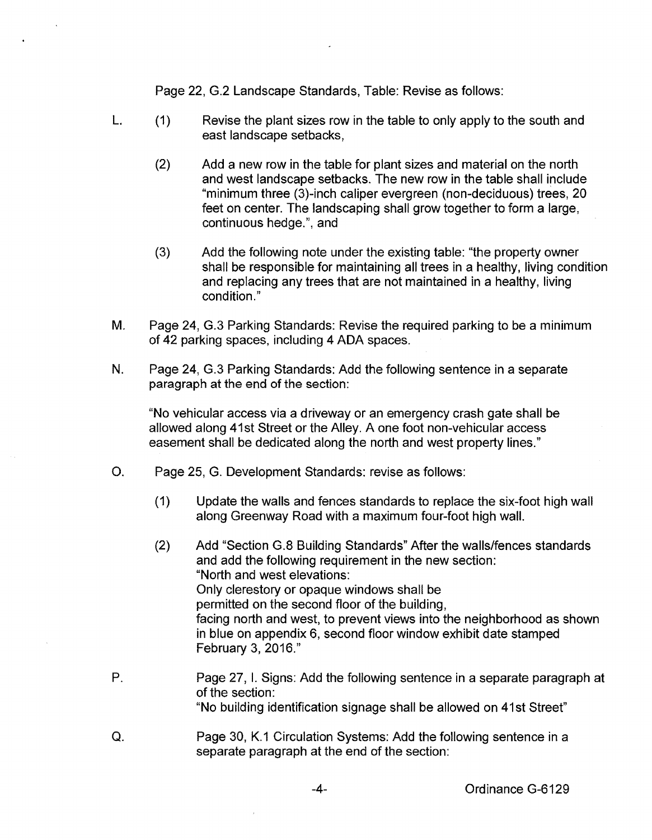Page 22, G.2 Landscape Standards, Table: Revise as follows:

- L. (1) Revise the plant sizes row in the table to only apply to the south and east landscape setbacks,
	- (2) Add a new row in the table for plant sizes and material on the north and west landscape setbacks. The new row in the table shall include "minimum three (3)-inch caliper evergreen (non-deciduous) trees, 20 feet on center. The landscaping shall grow together to form a large, continuous hedge.", and
	- (3) Add the following note under the existing table: "the property owner shall be responsible for maintaining all trees in a healthy, living condition and replacing any trees that are not maintained in a healthy, living condition."
- M. Page 24, G.3 Parking Standards: Revise the required parking to be a minimum of 42 parking spaces, including 4 ADA spaces.
- N. Page 24, G.3 Parking Standards: Add the following sentence in a separate paragraph at the end of the section:

"No vehicular access via a driveway or an emergency crash gate shall be allowed along 41st Street or the Alley. A one foot non-vehicular access easement shall be dedicated along the north and west property lines."

- 0. Page 25, G. Development Standards: revise as follows:
	- (1) Update the walls and fences standards to replace the six-foot high wall along Greenway Road with a maximum four-foot high wall.
	- (2) Add "Section G.8 Building Standards" After the walls/fences standards and add the following requirement in the new section: "North and west elevations: Only clerestory or opaque windows shall be permitted on the second floor of the building, facing north and west, to prevent views into the neighborhood as shown in blue on appendix 6, second floor window exhibit date stamped February 3, 2016."
- P. Page 27, I. Signs: Add the following sentence in a separate paragraph at of the section: "No building identification signage shall be allowed on 41st Street"
- Q. Page 30, K.1 Circulation Systems: Add the following sentence in a separate paragraph at the end of the section: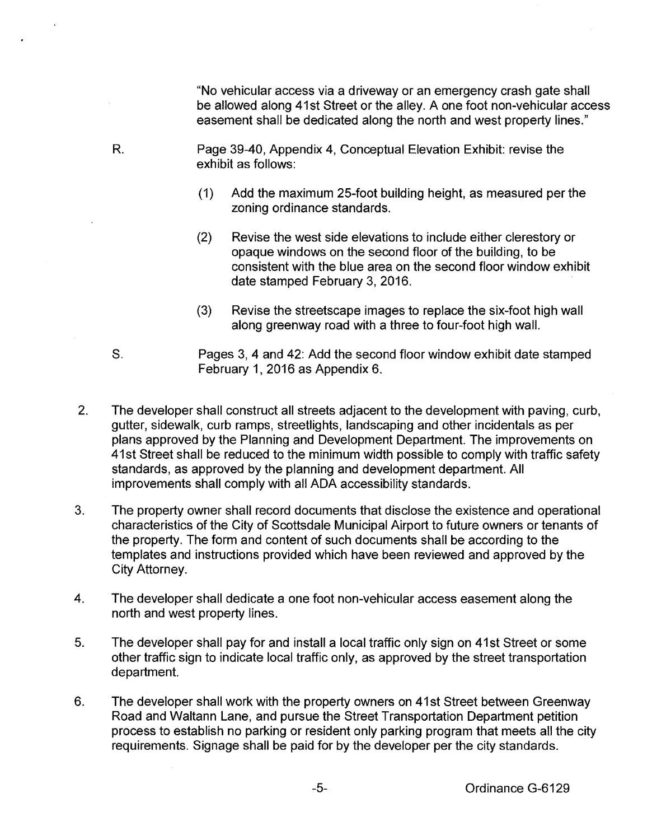"No vehicular access via a driveway or an emergency crash gate shall be allowed along 41st Street or the alley. A one foot non-vehicular access easement shall be dedicated along the north and west property lines."

- R. Page 39-40, Appendix 4, Conceptual Elevation Exhibit: revise the exhibit as follows:
	- (1) Add the maximum 25-foot building height, as measured per the zoning ordinance standards.
	- (2) Revise the west side elevations to include either clerestory or opaque windows on the second floor of the building, to be consistent with the blue area on the second floor window exhibit date stamped February 3, 2016.
	- (3) Revise the streetscape images to replace the six-foot high wall along greenway road with a three to four-foot high wall.
- S. Pages 3, 4 and 42: Add the second floor window exhibit date stamped February 1, 2016 as Appendix 6.
- 2. The developer shall construct all streets adjacent to the development with paving, curb, gutter, sidewalk, curb ramps, streetlights, landscaping and other incidentals as per plans approved by the Planning and Development Department. The improvements on 41st Street shall be reduced to the minimum width possible to comply with traffic safety standards, as approved by the planning and development department. All improvements shall comply with all ADA accessibility standards.
- 3. The property owner shall record documents that disclose the existence and operational characteristics of the City of Scottsdale Municipal Airport to future owners or tenants of the property. The form and content of such documents shall be according to the templates and instructions provided which have been reviewed and approved by the City Attorney.
- 4. The developer shall dedicate a one foot non-vehicular access easement along the north and west property lines.
- 5. The developer shall pay for and install a local traffic only sign on 41st Street or some other traffic sign to indicate local traffic only, as approved by the street transportation department.
- 6. The developer shall work with the property owners on 41st Street between Greenway Road and Waltann Lane, and pursue the Street Transportation Department petition process to establish no parking or resident only parking program that meets all the city requirements. Signage shall be paid for by the developer per the city standards.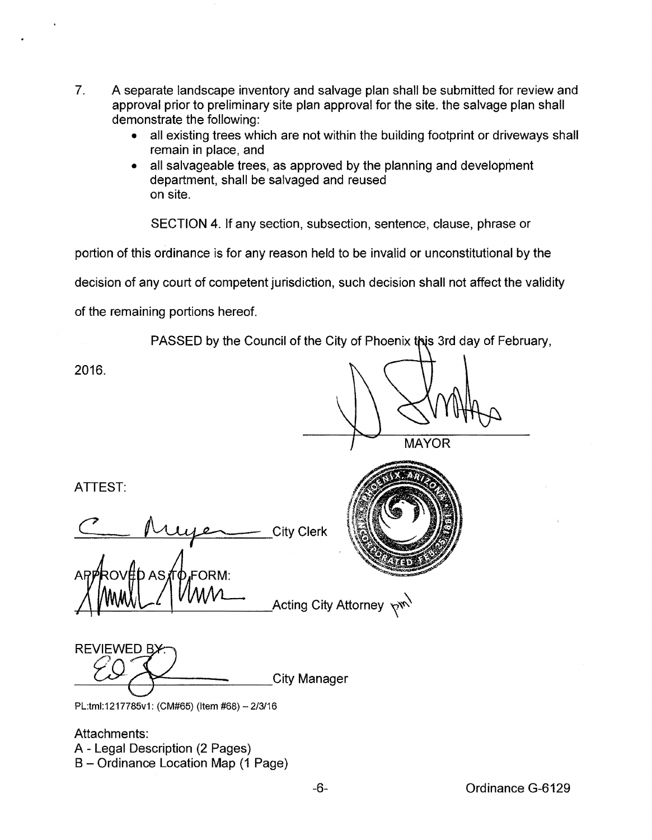- 7. A separate landscape inventory and salvage plan shall be submitted for review and approval prior to preliminary site plan approval for the site. the salvage plan shall demonstrate the following:
	- all existing trees which are not within the building footprint or driveways shall remain in place, and
	- all salvageable trees, as approved by the planning and development department, shall be salvaged and reused on site.

SECTION 4. If any section, subsection, sentence, clause, phrase or

portion of this ordinance is for any reason held to be invalid or unconstitutional by the

decision of any court of competent jurisdiction, such decision shall not affect the validity

of the remaining portions hereof.

PASSED by the Council of the City of Phoenix this 3rd day of February,

2016.

**MAYOR** 

**Pw** 

ATIEST:

ATTEST:<br>C<u>Augenes</u> City Clerk **Acting City Attorney** 

 $C_0$ City Manager

PL:tml:1217785v1: {CM#65) {Item #68)- 2/3/16

Attachments: A- Legal Description {2 Pages} B- Ordinance Location Map {1 Page}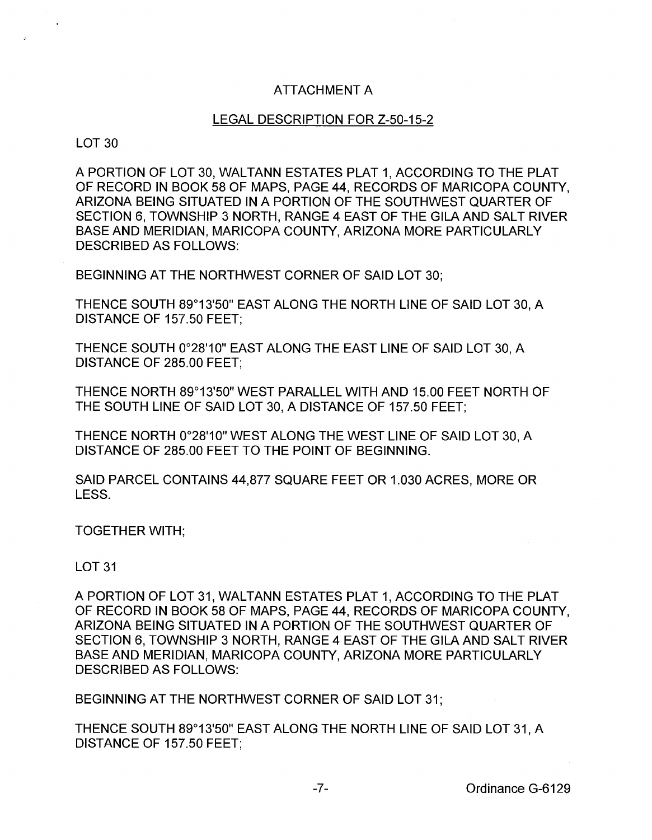# ATTACHMENT A

## LEGAL DESCRIPTION FOR Z-50-15-2

## LOT 30

A PORTION OF LOT 30, WALTANN ESTATES PLAT 1, ACCORDING TO THE PLAT OF RECORD IN BOOK 58 OF MAPS, PAGE 44, RECORDS OF MARICOPA COUNTY, ARIZONA BEING SITUATED IN A PORTION OF THE SOUTHWEST QUARTER OF SECTION 6, TOWNSHIP 3 NORTH, RANGE 4 EAST OF THE GILA AND SALT RIVER BASE AND MERIDIAN, MARICOPA COUNTY, ARIZONA MORE PARTICULARLY DESCRIBED AS FOLLOWS:

BEGINNING AT THE NORTHWEST CORNER OF SAID LOT 30;

THENCE SOUTH 89°13'50" EAST ALONG THE NORTH LINE OF SAID LOT 30, A DISTANCE OF 157.50 FEET;

THENCE SOUTH 0°28'10" EAST ALONG THE EAST LINE OF SAID LOT 30, A DISTANCE OF 285.00 FEET;

THENCE NORTH 89°13'50" WEST PARALLEL WITH AND 15.00 FEET NORTH OF THE SOUTH LINE OF SAID LOT 30, A DISTANCE OF 157.50 FEET;

THENCE NORTH 0°28'10" WEST ALONG THE WEST LINE OF SAID LOT 30, A DISTANCE OF 285.00 FEET TO THE POINT OF BEGINNING.

SAID PARCEL CONTAINS 44,877 SQUARE FEET OR 1.030 ACRES, MORE OR LESS.

TOGETHER WITH;

## LOT 31

A PORTION OF LOT 31, WALTANN ESTATES PLAT 1, ACCORDING TO THE PLAT OF RECORD IN BOOK 58 OF MAPS, PAGE 44, RECORDS OF MARICOPA COUNTY, ARIZONA BEING SITUATED IN A PORTION OF THE SOUTHWEST QUARTER OF SECTION 6, TOWNSHIP 3 NORTH, RANGE 4 EAST OF THE GILA AND SALT RIVER BASE AND MERIDIAN, MARICOPA COUNTY, ARIZONA MORE PARTICULARLY DESCRIBED AS FOLLOWS:

BEGINNING AT THE NORTHWEST CORNER OF SAID LOT 31;

THENCE SOUTH 89°13'50" EAST ALONG THE NORTH LINE OF SAID LOT 31, A DISTANCE OF 157.50 FEET;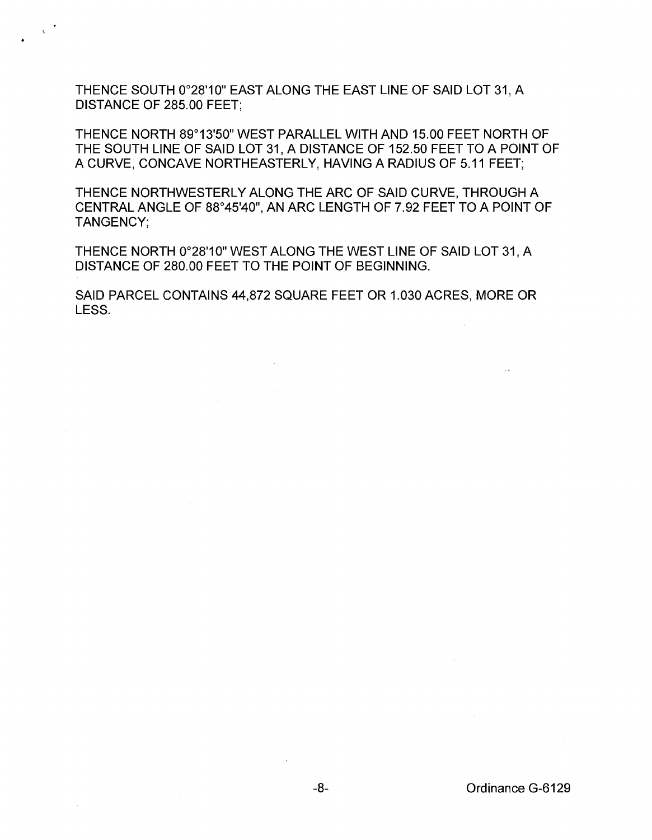THENCE SOUTH 0°28'10" EAST ALONG THE EAST LINE OF SAID LOT 31, A DISTANCE OF 285.00 FEET;

THENCE NORTH 89°13'50" WEST PARALLEL WITH AND 15.00 FEET NORTH OF THE SOUTH LINE OF SAID LOT 31, A DISTANCE OF 152.50 FEET TO A POINT OF A CURVE, CONCAVE NORTHEASTERLY, HAVING A RADIUS OF 5.11 FEET;

THENCE NORTHWESTERLY ALONG THE ARC OF SAID CURVE, THROUGH A CENTRAL ANGLE OF 88°45'40", AN ARC LENGTH OF 7.92 FEET TO A POINT OF TANGENCY;

THENCE NORTH 0°28'10" WEST ALONG THE WEST LINE OF SAID LOT 31, A DISTANCE OF 280.00 FEET TO THE POINT OF BEGINNING.

SAID PARCEL CONTAINS 44,872 SQUARE FEET OR 1.030 ACRES, MORE OR LESS.